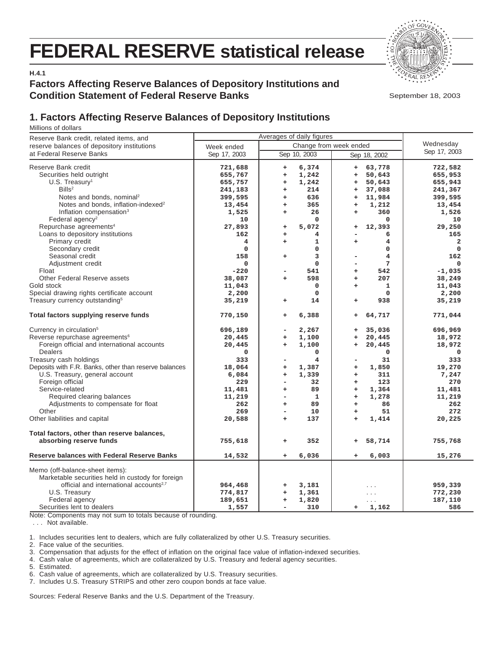# **FEDERAL RESERVE statistical release**



**H.4.1**

## **Factors Affecting Reserve Balances of Depository Institutions and Condition Statement of Federal Reserve Banks**

September 18, 2003

# **1. Factors Affecting Reserve Balances of Depository Institutions**

Millions of dollars

| Reserve Bank credit, related items, and                                                                                                                                                                                                                                                                                                                                                                                        | Averages of daily figures                                                                                               |                                                                                                                                                                                                                                                                                                  |                                                                                                                                                                                                                                                             |                                                                                                                                     |
|--------------------------------------------------------------------------------------------------------------------------------------------------------------------------------------------------------------------------------------------------------------------------------------------------------------------------------------------------------------------------------------------------------------------------------|-------------------------------------------------------------------------------------------------------------------------|--------------------------------------------------------------------------------------------------------------------------------------------------------------------------------------------------------------------------------------------------------------------------------------------------|-------------------------------------------------------------------------------------------------------------------------------------------------------------------------------------------------------------------------------------------------------------|-------------------------------------------------------------------------------------------------------------------------------------|
| reserve balances of depository institutions                                                                                                                                                                                                                                                                                                                                                                                    | Week ended                                                                                                              | Wednesday                                                                                                                                                                                                                                                                                        |                                                                                                                                                                                                                                                             |                                                                                                                                     |
| at Federal Reserve Banks                                                                                                                                                                                                                                                                                                                                                                                                       | Sep 17, 2003                                                                                                            | Sep 10, 2003                                                                                                                                                                                                                                                                                     | Sep 18, 2002                                                                                                                                                                                                                                                | Sep 17, 2003                                                                                                                        |
| Reserve Bank credit<br>Securities held outright<br>U.S. Treasury <sup>1</sup><br>$B$ ills <sup>2</sup><br>Notes and bonds, nominal <sup>2</sup><br>Notes and bonds, inflation-indexed <sup>2</sup><br>Inflation compensation <sup>3</sup><br>Federal agency <sup>2</sup><br>Repurchase agreements <sup>4</sup><br>Loans to depository institutions<br>Primary credit<br>Secondary credit<br>Seasonal credit                    | 721,688<br>655,767<br>655,757<br>241,183<br>399,595<br>13,454<br>1,525<br>10<br>27,893<br>162<br>4<br>0<br>158          | 6,374<br>$\begin{array}{c} + \end{array}$<br>1,242<br>$\ddot{}$<br>1,242<br>$\ddot{}$<br>214<br>$\ddot{}$<br>636<br>$\begin{array}{c} + \end{array}$<br>365<br>$\ddot{}$<br>26<br>$\ddot{}$<br>0<br>5,072<br>$\begin{array}{c} + \end{array}$<br>4<br>$\ddot{}$<br>1<br>÷<br>0<br>3<br>$\ddot{}$ | 63,778<br>$\ddot{}$<br>50,643<br>$\ddot{}$<br>50,643<br>÷<br>37,088<br>$\ddot{}$<br>11,984<br>$\begin{array}{c} + \end{array}$<br>1,212<br>$\ddot{}$<br>360<br>$\ddot{}$<br>0<br>12,393<br>+<br>6<br>4<br>÷<br>$\mathbf 0$<br>4<br>$\overline{\phantom{0}}$ | 722,582<br>655,953<br>655,943<br>241,367<br>399,595<br>13,454<br>1,526<br>10<br>29,250<br>165<br>$\mathbf{2}$<br>$\mathbf 0$<br>162 |
| Adjustment credit<br>Float<br>Other Federal Reserve assets<br>Gold stock<br>Special drawing rights certificate account<br>Treasury currency outstanding <sup>5</sup>                                                                                                                                                                                                                                                           | $\mathbf 0$<br>$-220$<br>38,087<br>11,043<br>2,200<br>35,219                                                            | $\mathbf 0$<br>541<br>۰<br>598<br>÷<br>$\mathbf 0$<br>$\Omega$<br>14<br>÷                                                                                                                                                                                                                        | 7<br>$\overline{\phantom{0}}$<br>542<br>$\ddot{}$<br>207<br>$\ddot{}$<br>1<br>$\ddot{}$<br>$\Omega$<br>938<br>+                                                                                                                                             | 0<br>$-1,035$<br>38,249<br>11,043<br>2,200<br>35,219                                                                                |
| Total factors supplying reserve funds                                                                                                                                                                                                                                                                                                                                                                                          | 770,150                                                                                                                 | 6,388<br>$\ddot{}$                                                                                                                                                                                                                                                                               | 64,717<br>÷                                                                                                                                                                                                                                                 | 771,044                                                                                                                             |
| Currency in circulation <sup>5</sup><br>Reverse repurchase agreements <sup>6</sup><br>Foreign official and international accounts<br><b>Dealers</b><br>Treasury cash holdings<br>Deposits with F.R. Banks, other than reserve balances<br>U.S. Treasury, general account<br>Foreign official<br>Service-related<br>Required clearing balances<br>Adjustments to compensate for float<br>Other<br>Other liabilities and capital | 696,189<br>20,445<br>20,445<br>$\mathbf 0$<br>333<br>18,064<br>6,084<br>229<br>11,481<br>11,219<br>262<br>269<br>20,588 | 2,267<br>-<br>1,100<br>$\ddot{}$<br>1,100<br>$\ddot{}$<br>0<br>4<br>۰<br>1,387<br>$\ddot{}$<br>1,339<br>$\ddot{}$<br>32<br>$\overline{\phantom{a}}$<br>89<br>$\ddot{}$<br>$\mathbf{1}$<br>$\overline{\phantom{a}}$<br>89<br>$\ddot{}$<br>10<br>Ξ.<br>137<br>$\ddot{}$                            | 35,036<br>+<br>20,445<br>$\ddot{}$<br>20,445<br>$\ddot{}$<br>0<br>31<br>1,850<br>$\ddot{}$<br>311<br>$\ddot{}$<br>123<br>$+$<br>$\ddot{}$<br>1,364<br>1,278<br>$\ddot{}$<br>86<br>$\ddot{}$<br>51<br>$\ddot{}$<br>1,414<br>$\ddot{}$                        | 696,969<br>18,972<br>18,972<br>0<br>333<br>19,270<br>7,247<br>270<br>11,481<br>11,219<br>262<br>272<br>20,225                       |
| Total factors, other than reserve balances,<br>absorbing reserve funds                                                                                                                                                                                                                                                                                                                                                         | 755,618                                                                                                                 | 352<br>$\ddot{}$                                                                                                                                                                                                                                                                                 | 58,714<br>$\ddot{}$                                                                                                                                                                                                                                         | 755,768                                                                                                                             |
| <b>Reserve balances with Federal Reserve Banks</b>                                                                                                                                                                                                                                                                                                                                                                             | 14,532                                                                                                                  | 6,036<br>$\ddot{}$                                                                                                                                                                                                                                                                               | 6,003<br>+                                                                                                                                                                                                                                                  | 15,276                                                                                                                              |
| Memo (off-balance-sheet items):<br>Marketable securities held in custody for foreign<br>official and international accounts <sup>2,7</sup><br>U.S. Treasury<br>Federal agency<br>Securities lent to dealers                                                                                                                                                                                                                    | 964,468<br>774,817<br>189,651<br>1,557                                                                                  | 3,181<br>+<br>1,361<br>$\ddot{}$<br>1,820<br>$\ddot{}$<br>310<br>$\overline{\phantom{0}}$                                                                                                                                                                                                        | $\cdots$<br>$\sim$ $\sim$ $\sim$<br>1,162<br>÷                                                                                                                                                                                                              | 959,339<br>772,230<br>187,110<br>586                                                                                                |

Note: Components may not sum to totals because of rounding.

. . . Not available.

1. Includes securities lent to dealers, which are fully collateralized by other U.S. Treasury securities.

2. Face value of the securities.

3. Compensation that adjusts for the effect of inflation on the original face value of inflation-indexed securities.

4. Cash value of agreements, which are collateralized by U.S. Treasury and federal agency securities.

5. Estimated.

6. Cash value of agreements, which are collateralized by U.S. Treasury securities.

7. Includes U.S. Treasury STRIPS and other zero coupon bonds at face value.

Sources: Federal Reserve Banks and the U.S. Department of the Treasury.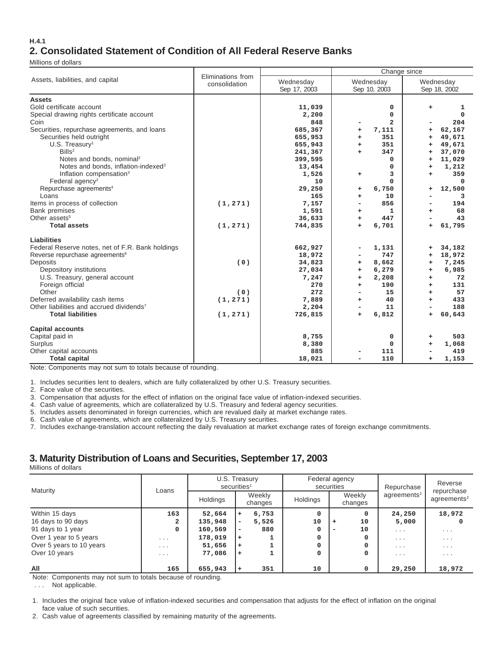#### **H.4.1 2. Consolidated Statement of Condition of All Federal Reserve Banks**

Millions of dollars

|                                                      | Eliminations from |              | Change since     |                               |  |  |  |  |  |
|------------------------------------------------------|-------------------|--------------|------------------|-------------------------------|--|--|--|--|--|
| Assets, liabilities, and capital                     | consolidation     | Wednesday    | Wednesday        | Wednesday                     |  |  |  |  |  |
|                                                      |                   | Sep 17, 2003 | Sep 10, 2003     | Sep 18, 2002                  |  |  |  |  |  |
| <b>Assets</b>                                        |                   |              |                  |                               |  |  |  |  |  |
| Gold certificate account                             |                   | 11,039       | 0                | +<br>1                        |  |  |  |  |  |
| Special drawing rights certificate account           |                   | 2,200        | $\mathbf 0$      | 0                             |  |  |  |  |  |
| Coin                                                 |                   | 848          | $\overline{a}$   | 204                           |  |  |  |  |  |
| Securities, repurchase agreements, and loans         |                   | 685,367      | 7,111<br>+       | 62,167<br>÷                   |  |  |  |  |  |
| Securities held outright                             |                   | 655,953      | 351<br>÷.        | 49,671<br>÷                   |  |  |  |  |  |
| $U.S.$ Treasury <sup>1</sup>                         |                   | 655,943      | 351<br>÷.        | 49,671<br>÷                   |  |  |  |  |  |
| Bills <sup>2</sup>                                   |                   | 241,367      | 347<br>÷.        | 37,070<br>÷                   |  |  |  |  |  |
| Notes and bonds, nominal <sup>2</sup>                |                   | 399,595      | $\mathbf 0$      | 11,029<br>÷                   |  |  |  |  |  |
| Notes and bonds, inflation-indexed <sup>2</sup>      |                   | 13,454       | 0                | 1,212<br>÷                    |  |  |  |  |  |
| Inflation compensation <sup>3</sup>                  |                   | 1,526        | 3<br>$\ddot{}$   | 359<br>÷                      |  |  |  |  |  |
| Federal agency <sup>2</sup>                          |                   | 10           | $\Omega$         | 0                             |  |  |  |  |  |
| Repurchase agreements <sup>4</sup>                   |                   | 29,250       | 6,750<br>÷       | 12,500<br>÷                   |  |  |  |  |  |
| Loans                                                |                   | 165          | 10<br>÷          | 3<br>$\overline{\phantom{0}}$ |  |  |  |  |  |
| Items in process of collection                       | (1, 271)          | 7,157        | 856              | 194                           |  |  |  |  |  |
| <b>Bank premises</b>                                 |                   | 1,591        | 1<br>+           | 68<br>÷                       |  |  |  |  |  |
| Other assets <sup>5</sup>                            |                   | 36,633       | 447<br>$\ddot{}$ | 43                            |  |  |  |  |  |
| <b>Total assets</b>                                  | (1, 271)          | 744,835      | 6,701<br>÷.      | 61,795<br>$\ddot{}$           |  |  |  |  |  |
| Liabilities                                          |                   |              |                  |                               |  |  |  |  |  |
| Federal Reserve notes, net of F.R. Bank holdings     |                   | 662,927      | 1,131            | 34,182<br>$\ddot{}$           |  |  |  |  |  |
| Reverse repurchase agreements <sup>6</sup>           |                   | 18,972       | 747              | 18,972<br>÷                   |  |  |  |  |  |
| Deposits                                             | (0)               | 34,823       | 8,662<br>+       | 7,245<br>÷                    |  |  |  |  |  |
| Depository institutions                              |                   | 27,034       | 6,279<br>+       | 6,985<br>÷                    |  |  |  |  |  |
| U.S. Treasury, general account                       |                   | 7,247        | 2,208<br>÷.      | 72<br>÷                       |  |  |  |  |  |
| Foreign official                                     |                   | 270          | 190<br>÷         | 131<br>÷                      |  |  |  |  |  |
| Other                                                | (0)               | 272          | 15               | 57<br>÷                       |  |  |  |  |  |
| Deferred availability cash items                     | (1, 271)          | 7,889        | 40<br>÷.         | 433<br>÷                      |  |  |  |  |  |
| Other liabilities and accrued dividends <sup>7</sup> |                   | 2,204        | 11               | 188<br>-                      |  |  |  |  |  |
| <b>Total liabilities</b>                             | (1, 271)          | 726,815      | 6,812<br>÷       | 60,643<br>÷                   |  |  |  |  |  |
| <b>Capital accounts</b>                              |                   |              |                  |                               |  |  |  |  |  |
| Capital paid in                                      |                   | 8,755        | 0                | 503<br>÷                      |  |  |  |  |  |
| Surplus                                              |                   | 8,380        | $\mathbf 0$      | 1,068<br>÷                    |  |  |  |  |  |
| Other capital accounts                               |                   | 885          | 111              | 419                           |  |  |  |  |  |
| <b>Total capital</b>                                 |                   | 18,021       | 110              | 1,153<br>÷                    |  |  |  |  |  |

Note: Components may not sum to totals because of rounding.

1. Includes securities lent to dealers, which are fully collateralized by other U.S. Treasury securities.

2. Face value of the securities.

3. Compensation that adjusts for the effect of inflation on the original face value of inflation-indexed securities.

4. Cash value of agreements, which are collateralized by U.S. Treasury and federal agency securities.

5. Includes assets denominated in foreign currencies, which are revalued daily at market exchange rates.

6. Cash value of agreements, which are collateralized by U.S. Treasury securities.

7. Includes exchange-translation account reflecting the daily revaluation at market exchange rates of foreign exchange commitments.

## **3. Maturity Distribution of Loans and Securities, September 17, 2003**

Millions of dollars

| Maturity                 | Loans                   | U.S. Treasury<br>securities <sup>1</sup> |           |                   | Federal agency<br>securities |                   |          | Repurchase              | Reverse<br>repurchase       |  |
|--------------------------|-------------------------|------------------------------------------|-----------|-------------------|------------------------------|-------------------|----------|-------------------------|-----------------------------|--|
|                          |                         | Holdings                                 |           | Weekly<br>changes | Holdings                     | Weekly<br>changes |          | agreements <sup>2</sup> | $a$ agreements <sup>2</sup> |  |
| Within 15 days           | 163                     | 52,664                                   | ÷         | 6,753             | $\Omega$                     |                   | $\Omega$ | 24,250                  | 18,972                      |  |
| 16 days to 90 days       | 2                       | 135,948                                  | ۰         | 5,526             | 10                           | $\ddot{}$         | 10       | 5,000                   |                             |  |
| 91 days to 1 year        | 0                       | 160,569                                  | ۰         | 880               | 0                            | -                 | 10       | $\cdot$ $\cdot$ $\cdot$ | $\cdot$ $\cdot$ $\cdot$     |  |
| Over 1 year to 5 years   | $\cdot$ $\cdot$ $\cdot$ | 178,019                                  | $\ddot{}$ |                   | 0                            |                   | 0        | $\cdots$                | $\cdots$                    |  |
| Over 5 years to 10 years | $\cdot$ $\cdot$ $\cdot$ | 51,656                                   | ÷         |                   |                              |                   | $\Omega$ | $\cdot$ $\cdot$ $\cdot$ | $\cdot$ $\cdot$ $\cdot$     |  |
| Over 10 years            | $\cdot$ $\cdot$ $\cdot$ | 77,086                                   | ÷         |                   | 0                            |                   | $\Omega$ | $\cdot$ $\cdot$ $\cdot$ | $\cdot$ $\cdot$ $\cdot$     |  |
| All                      | 165                     | 655,943                                  | ÷         | 351               | 10                           |                   | $\Omega$ | 29,250                  | 18,972                      |  |

Note: Components may not sum to totals because of rounding.

. . . Not applicable.

1. Includes the original face value of inflation-indexed securities and compensation that adjusts for the effect of inflation on the original face value of such securities.

2. Cash value of agreements classified by remaining maturity of the agreements.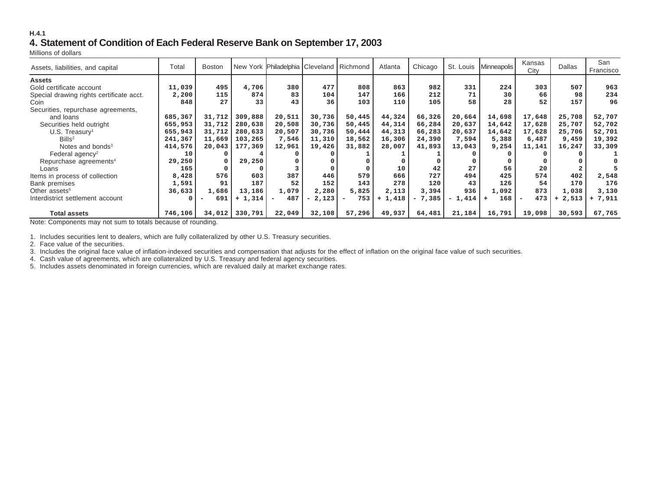#### **H.4.1 4. Statement of Condition of Each Federal Reserve Bank on September 17, 2003**

Millions of dollars

| Assets, liabilities, and capital         | Total   | <b>Boston</b> |          | New York Philadelphia Cleveland Richmond |        |        | Atlanta   | Chicago  |          | St. Louis   Minneapolis | Kansas<br>City | <b>Dallas</b> | San<br>Francisco |
|------------------------------------------|---------|---------------|----------|------------------------------------------|--------|--------|-----------|----------|----------|-------------------------|----------------|---------------|------------------|
| <b>Assets</b>                            |         |               |          |                                          |        |        |           |          |          |                         |                |               |                  |
| Gold certificate account                 | 11,039  | 495           | 4,706    | 380                                      | 477    | 808    | 863       | 982      | 331      | 224                     | 303            | 507           | 963              |
| Special drawing rights certificate acct. | 2,200   | 115           | 874      | 83                                       | 104    | 147    | 166       | 212      | 71       | 30                      | 66             | 98            | 234              |
| Coin                                     | 848     | 27            | 33       | 43                                       | 36     | 103    | 110       | 105      | 58       | 28                      | 52             | 157           | 96               |
| Securities, repurchase agreements,       |         |               |          |                                          |        |        |           |          |          |                         |                |               |                  |
| and loans                                | 685,367 | 31,712        | 309,888  | 20,511                                   | 30,736 | 50,445 | 44,324    | 66,326   | 20,664   | 14,698                  | 17,648         | 25,708        | 52,707           |
| Securities held outright                 | 655,953 | 31,712        | 280,638  | 20,508                                   | 30,736 | 50,445 | 44,314    | 66,284   | 20,637   | 14,642                  | 17,628         | 25,707        | 52,702           |
| $U.S.$ Treasury <sup>1</sup>             | 655,943 | 31,712        | 280,633  | 20,507                                   | 30,736 | 50,444 | 44,313    | 66,283   | 20,637   | 14,642                  | 17,628         | 25,706        | 52,701           |
| Bills <sup>2</sup>                       | 241,367 | 11,669        | 103,265  | 7,546                                    | 11,310 | 18,562 | 16,306    | 24,390   | 7,594    | 5,388                   | 6,487          | 9,459         | 19,392           |
| Notes and bonds <sup>3</sup>             | 414,576 | 20,043        | 177,369  | 12,961                                   | 19,426 | 31,882 | 28,007    | 41,893   | 13,043   | 9,254                   | 11,141         | 16,247        | 33,309           |
| Federal agency <sup>2</sup>              | 10      |               |          |                                          |        |        |           |          |          |                         |                |               |                  |
| Repurchase agreements <sup>4</sup>       | 29,250  |               | 29,250   |                                          |        |        |           |          |          |                         |                |               |                  |
| Loans                                    | 165     |               |          |                                          |        |        | 10        | 42       | 27       | 56                      | 20             |               |                  |
| Items in process of collection           | 8,428   | 576           | 603      | 387                                      | 446    | 579    | 666       | 727      | 494      | 425                     | 574            | 402           | 2,548            |
| <b>Bank premises</b>                     | 1,591   | 91            | 187      | 52                                       | 152    | 143    | 278       | 120      | 43       | 126                     | 54             | 170           | 176              |
| Other assets <sup>5</sup>                | 36,633  | 1,686         | 13,186   | 1,079                                    | 2,280  | 5,825  | 2,113     | 3,394    | 936      | 1,092                   | 873            | 1,038         | 3,130            |
| Interdistrict settlement account         |         | 691           | $+1,314$ | 487                                      | 2,123  | 753    | $+ 1,418$ | $-7,385$ | $-1,414$ | 168                     | 473            | 2,513<br>$+$  | 7,911<br>$+$     |
|                                          |         |               |          |                                          |        |        |           |          |          |                         |                |               |                  |
| <b>Total assets</b>                      | 746,106 | 34,012        | 330,791  | 22,049                                   | 32,108 | 57,296 | 49,937    | 64,481   | 21,184   | 16,791                  | 19,098         | 30,593        | 67,765           |

Note: Components may not sum to totals because of rounding.

1. Includes securities lent to dealers, which are fully collateralized by other U.S. Treasury securities.

2. Face value of the securities.

3. Includes the original face value of inflation-indexed securities and compensation that adjusts for the effect of inflation on the original face value of such securities.

4. Cash value of agreements, which are collateralized by U.S. Treasury and federal agency securities.

5. Includes assets denominated in foreign currencies, which are revalued daily at market exchange rates.